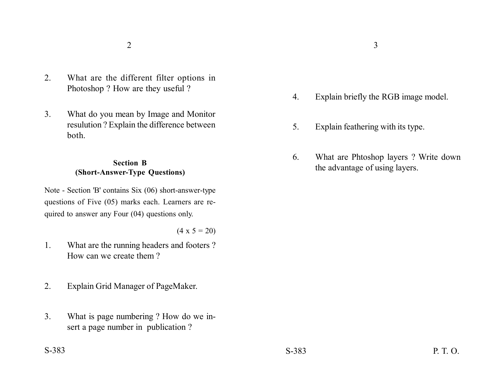- 2. What are the different filter options in Photoshop ? How are they useful ?
- 3. What do you mean by Image and Monitor resulution ? Explain the difference between both.

## **Section B (Short-Answer-Type Questions)**

Note - Section 'B' contains Six (06) short-answer-type questions of Five (05) marks each. Learners are required to answer any Four (04) questions only.

 $(4 \times 5 = 20)$ 

- 1. What are the running headers and footers ? How can we create them ?
- 2. Explain Grid Manager of PageMaker.
- 3. What is page numbering ? How do we insert a page number in publication ?

 $2\overline{3}$ 

- 4. Explain briefly the RGB image model.
- 5. Explain feathering with its type.
- 6. What are Phtoshop layers ? Write down the advantage of using layers.